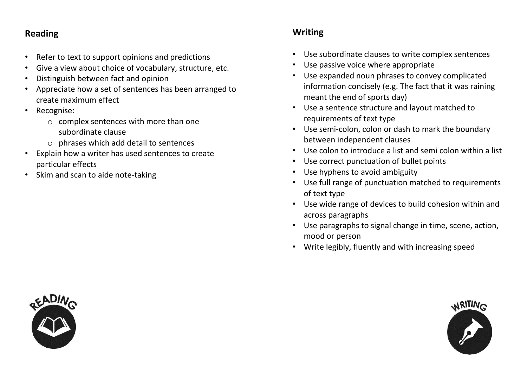### **Reading**

- Refer to text to support opinions and predictions
- Give a view about choice of vocabulary, structure, etc.
- Distinguish between fact and opinion
- Appreciate how a set of sentences has been arranged to create maximum effect
- Recognise:
	- o complex sentences with more than one subordinate clause
	- o phrases which add detail to sentences
- Explain how a writer has used sentences to create particular effects
- Skim and scan to aide note-taking

### **Writing**

- Use subordinate clauses to write complex sentences
- Use passive voice where appropriate
- Use expanded noun phrases to convey complicated information concisely (e.g. The fact that it was raining meant the end of sports day)
- Use a sentence structure and layout matched to requirements of text type
- Use semi-colon, colon or dash to mark the boundary between independent clauses
- Use colon to introduce a list and semi colon within a list
- Use correct punctuation of bullet points
- Use hyphens to avoid ambiguity
- Use full range of punctuation matched to requirements of text type
- Use wide range of devices to build cohesion within and across paragraphs
- Use paragraphs to signal change in time, scene, action, mood or person
- Write legibly, fluently and with increasing speed